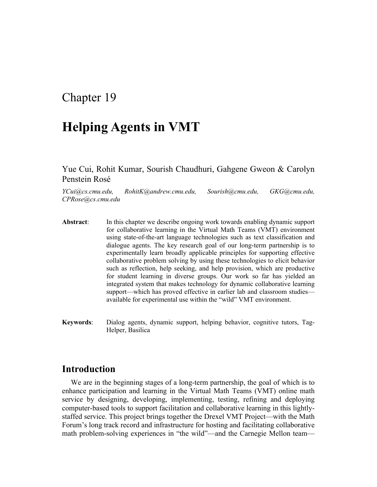# Chapter 19

# **Helping Agents in VMT**

Yue Cui, Rohit Kumar, Sourish Chaudhuri, Gahgene Gweon & Carolyn Penstein Rosé

*YCui@cs.cmu.edu, RohitK@andrew.cmu.edu, Sourish@cmu.edu, GKG@cmu.edu, CPRose@cs.cmu.edu*

- **Abstract**: In this chapter we describe ongoing work towards enabling dynamic support for collaborative learning in the Virtual Math Teams (VMT) environment using state-of-the-art language technologies such as text classification and dialogue agents. The key research goal of our long-term partnership is to experimentally learn broadly applicable principles for supporting effective collaborative problem solving by using these technologies to elicit behavior such as reflection, help seeking, and help provision, which are productive for student learning in diverse groups. Our work so far has yielded an integrated system that makes technology for dynamic collaborative learning support—which has proved effective in earlier lab and classroom studies available for experimental use within the "wild" VMT environment.
- **Keywords**: Dialog agents, dynamic support, helping behavior, cognitive tutors, Tag-Helper, Basilica

## **Introduction**

We are in the beginning stages of a long-term partnership, the goal of which is to enhance participation and learning in the Virtual Math Teams (VMT) online math service by designing, developing, implementing, testing, refining and deploying computer-based tools to support facilitation and collaborative learning in this lightlystaffed service. This project brings together the Drexel VMT Project—with the Math Forum's long track record and infrastructure for hosting and facilitating collaborative math problem-solving experiences in "the wild"—and the Carnegie Mellon team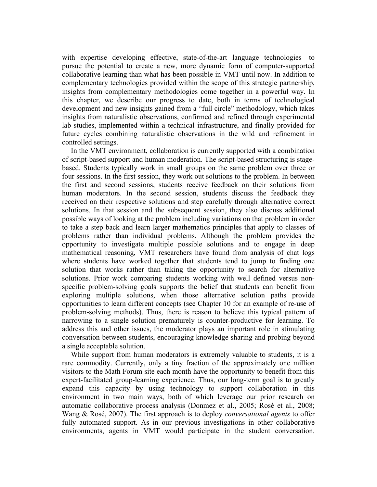with expertise developing effective, state-of-the-art language technologies—to pursue the potential to create a new, more dynamic form of computer-supported collaborative learning than what has been possible in VMT until now. In addition to complementary technologies provided within the scope of this strategic partnership, insights from complementary methodologies come together in a powerful way. In this chapter, we describe our progress to date, both in terms of technological development and new insights gained from a "full circle" methodology, which takes insights from naturalistic observations, confirmed and refined through experimental lab studies, implemented within a technical infrastructure, and finally provided for future cycles combining naturalistic observations in the wild and refinement in controlled settings.

In the VMT environment, collaboration is currently supported with a combination of script-based support and human moderation. The script-based structuring is stagebased. Students typically work in small groups on the same problem over three or four sessions. In the first session, they work out solutions to the problem. In between the first and second sessions, students receive feedback on their solutions from human moderators. In the second session, students discuss the feedback they received on their respective solutions and step carefully through alternative correct solutions. In that session and the subsequent session, they also discuss additional possible ways of looking at the problem including variations on that problem in order to take a step back and learn larger mathematics principles that apply to classes of problems rather than individual problems. Although the problem provides the opportunity to investigate multiple possible solutions and to engage in deep mathematical reasoning, VMT researchers have found from analysis of chat logs where students have worked together that students tend to jump to finding one solution that works rather than taking the opportunity to search for alternative solutions. Prior work comparing students working with well defined versus nonspecific problem-solving goals supports the belief that students can benefit from exploring multiple solutions, when those alternative solution paths provide opportunities to learn different concepts (see Chapter 10 for an example of re-use of problem-solving methods). Thus, there is reason to believe this typical pattern of narrowing to a single solution prematurely is counter-productive for learning. To address this and other issues, the moderator plays an important role in stimulating conversation between students, encouraging knowledge sharing and probing beyond a single acceptable solution.

While support from human moderators is extremely valuable to students, it is a rare commodity. Currently, only a tiny fraction of the approximately one million visitors to the Math Forum site each month have the opportunity to benefit from this expert-facilitated group-learning experience. Thus, our long-term goal is to greatly expand this capacity by using technology to support collaboration in this environment in two main ways, both of which leverage our prior research on automatic collaborative process analysis (Donmez et al., 2005; Rosé et al., 2008; Wang & Rosé, 2007). The first approach is to deploy *conversational agents* to offer fully automated support. As in our previous investigations in other collaborative environments, agents in VMT would participate in the student conversation.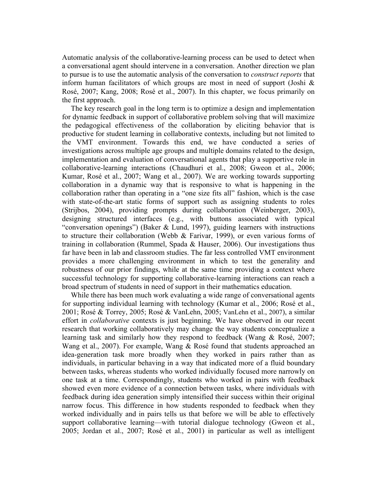Automatic analysis of the collaborative-learning process can be used to detect when a conversational agent should intervene in a conversation. Another direction we plan to pursue is to use the automatic analysis of the conversation to *construct reports* that inform human facilitators of which groups are most in need of support (Joshi  $\&$ Rosé, 2007; Kang, 2008; Rosé et al., 2007). In this chapter, we focus primarily on the first approach.

The key research goal in the long term is to optimize a design and implementation for dynamic feedback in support of collaborative problem solving that will maximize the pedagogical effectiveness of the collaboration by eliciting behavior that is productive for student learning in collaborative contexts, including but not limited to the VMT environment. Towards this end, we have conducted a series of investigations across multiple age groups and multiple domains related to the design, implementation and evaluation of conversational agents that play a supportive role in collaborative-learning interactions (Chaudhuri et al., 2008; Gweon et al., 2006; Kumar, Rosé et al., 2007; Wang et al., 2007). We are working towards supporting collaboration in a dynamic way that is responsive to what is happening in the collaboration rather than operating in a "one size fits all" fashion, which is the case with state-of-the-art static forms of support such as assigning students to roles (Strijbos, 2004), providing prompts during collaboration (Weinberger, 2003), designing structured interfaces (e.g., with buttons associated with typical "conversation openings") (Baker & Lund, 1997), guiding learners with instructions to structure their collaboration (Webb & Farivar, 1999), or even various forms of training in collaboration (Rummel, Spada & Hauser, 2006). Our investigations thus far have been in lab and classroom studies. The far less controlled VMT environment provides a more challenging environment in which to test the generality and robustness of our prior findings, while at the same time providing a context where successful technology for supporting collaborative-learning interactions can reach a broad spectrum of students in need of support in their mathematics education.

While there has been much work evaluating a wide range of conversational agents for supporting individual learning with technology (Kumar et al., 2006; Rosé et al., 2001; Rosé & Torrey, 2005; Rosé & VanLehn, 2005; VanLehn et al., 2007), a similar effort in *collaborative* contexts is just beginning. We have observed in our recent research that working collaboratively may change the way students conceptualize a learning task and similarly how they respond to feedback (Wang & Rosé, 2007; Wang et al., 2007). For example, Wang & Rosé found that students approached an idea-generation task more broadly when they worked in pairs rather than as individuals, in particular behaving in a way that indicated more of a fluid boundary between tasks, whereas students who worked individually focused more narrowly on one task at a time. Correspondingly, students who worked in pairs with feedback showed even more evidence of a connection between tasks, where individuals with feedback during idea generation simply intensified their success within their original narrow focus. This difference in how students responded to feedback when they worked individually and in pairs tells us that before we will be able to effectively support collaborative learning—with tutorial dialogue technology (Gweon et al., 2005; Jordan et al., 2007; Rosé et al., 2001) in particular as well as intelligent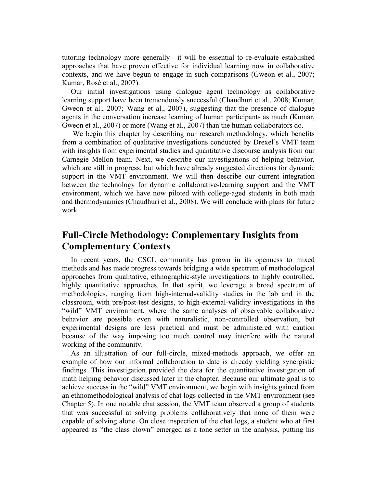tutoring technology more generally—it will be essential to re-evaluate established approaches that have proven effective for individual learning now in collaborative contexts, and we have begun to engage in such comparisons (Gweon et al., 2007; Kumar, Rosé et al., 2007).

Our initial investigations using dialogue agent technology as collaborative learning support have been tremendously successful (Chaudhuri et al., 2008; Kumar, Gweon et al., 2007; Wang et al., 2007), suggesting that the presence of dialogue agents in the conversation increase learning of human participants as much (Kumar, Gweon et al., 2007) or more (Wang et al., 2007) than the human collaborators do.

 We begin this chapter by describing our research methodology, which benefits from a combination of qualitative investigations conducted by Drexel's VMT team with insights from experimental studies and quantitative discourse analysis from our Carnegie Mellon team. Next, we describe our investigations of helping behavior, which are still in progress, but which have already suggested directions for dynamic support in the VMT environment. We will then describe our current integration between the technology for dynamic collaborative-learning support and the VMT environment, which we have now piloted with college-aged students in both math and thermodynamics (Chaudhuri et al., 2008). We will conclude with plans for future work.

# **Full-Circle Methodology: Complementary Insights from Complementary Contexts**

In recent years, the CSCL community has grown in its openness to mixed methods and has made progress towards bridging a wide spectrum of methodological approaches from qualitative, ethnographic-style investigations to highly controlled, highly quantitative approaches. In that spirit, we leverage a broad spectrum of methodologies, ranging from high-internal-validity studies in the lab and in the classroom, with pre/post-test designs, to high-external-validity investigations in the "wild" VMT environment, where the same analyses of observable collaborative behavior are possible even with naturalistic, non-controlled observation, but experimental designs are less practical and must be administered with caution because of the way imposing too much control may interfere with the natural working of the community.

As an illustration of our full-circle, mixed-methods approach, we offer an example of how our informal collaboration to date is already yielding synergistic findings. This investigation provided the data for the quantitative investigation of math helping behavior discussed later in the chapter. Because our ultimate goal is to achieve success in the "wild" VMT environment, we begin with insights gained from an ethnomethodological analysis of chat logs collected in the VMT environment (see Chapter 5). In one notable chat session, the VMT team observed a group of students that was successful at solving problems collaboratively that none of them were capable of solving alone. On close inspection of the chat logs, a student who at first appeared as "the class clown" emerged as a tone setter in the analysis, putting his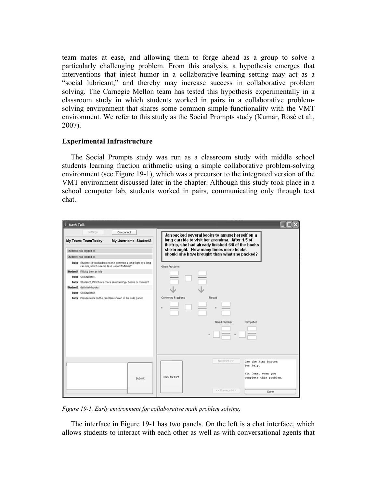team mates at ease, and allowing them to forge ahead as a group to solve a particularly challenging problem. From this analysis, a hypothesis emerges that interventions that inject humor in a collaborative-learning setting may act as a "social lubricant," and thereby may increase success in collaborative problem solving. The Carnegie Mellon team has tested this hypothesis experimentally in a classroom study in which students worked in pairs in a collaborative problemsolving environment that shares some common simple functionality with the VMT environment. We refer to this study as the Social Prompts study (Kumar, Rosé et al., 2007).

#### **Experimental Infrastructure**

The Social Prompts study was run as a classroom study with middle school students learning fraction arithmetic using a simple collaborative problem-solving environment (see Figure 19-1), which was a precursor to the integrated version of the VMT environment discussed later in the chapter. Although this study took place in a school computer lab, students worked in pairs, communicating only through text chat.

| <b>Math Talk</b> |                                                                                                                                                                                                                                                |                                                                                                                                                                                                                                            |                                                                                                                                                                                                                                                                                                                                                      |
|------------------|------------------------------------------------------------------------------------------------------------------------------------------------------------------------------------------------------------------------------------------------|--------------------------------------------------------------------------------------------------------------------------------------------------------------------------------------------------------------------------------------------|------------------------------------------------------------------------------------------------------------------------------------------------------------------------------------------------------------------------------------------------------------------------------------------------------------------------------------------------------|
|                  | Settings<br>My Team: TeamToday<br>Student2 has logged in.<br>Student1 has logged in.<br>car ride, which seems less uncomfortable?<br>Student1 I'll take the car ride<br>Tutor Ok Student1.<br>Student2 definitely books!<br>Tutor Ok Student2. | Disconnect<br>My Username: Student2<br>Tutor Student1, If you had to choose between a long flight or a long<br>Tutor Student2, Which are more entertaining - books or movies?<br>Tutor Please work on the problem shown in the side panel. | Jan packed several books to amuse herself on a<br>long car ride to visit her grandma. After 1/5 of<br>the trip, she had already finished 6/8 of the books<br>she brought. How many times more books<br>should she have brought than what she packed?<br><b>Given Fractions</b><br><b>Converted Fractions</b><br>Result<br>Simplified<br>Mixed Number |
|                  |                                                                                                                                                                                                                                                | Submit                                                                                                                                                                                                                                     | Next Hint >><br>Use the Hint button<br>for Help.<br>Mit Done, when you<br>Click for Hint<br>complete this problem.<br><< Previous Hint<br>Done                                                                                                                                                                                                       |

*Figure 19-1. Early environment for collaborative math problem solving.* 

The interface in Figure 19-1 has two panels. On the left is a chat interface, which allows students to interact with each other as well as with conversational agents that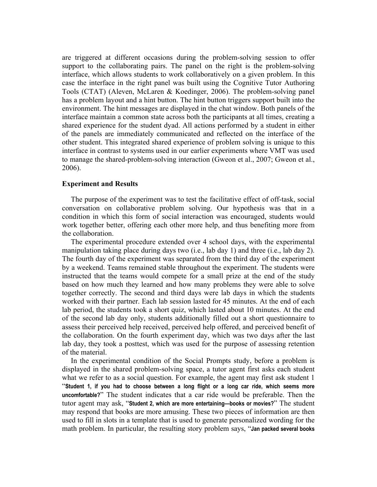are triggered at different occasions during the problem-solving session to offer support to the collaborating pairs. The panel on the right is the problem-solving interface, which allows students to work collaboratively on a given problem. In this case the interface in the right panel was built using the Cognitive Tutor Authoring Tools (CTAT) (Aleven, McLaren & Koedinger, 2006). The problem-solving panel has a problem layout and a hint button. The hint button triggers support built into the environment. The hint messages are displayed in the chat window. Both panels of the interface maintain a common state across both the participants at all times, creating a shared experience for the student dyad. All actions performed by a student in either of the panels are immediately communicated and reflected on the interface of the other student. This integrated shared experience of problem solving is unique to this interface in contrast to systems used in our earlier experiments where VMT was used to manage the shared-problem-solving interaction (Gweon et al., 2007; Gweon et al., 2006).

#### **Experiment and Results**

The purpose of the experiment was to test the facilitative effect of off-task, social conversation on collaborative problem solving. Our hypothesis was that in a condition in which this form of social interaction was encouraged, students would work together better, offering each other more help, and thus benefiting more from the collaboration.

The experimental procedure extended over 4 school days, with the experimental manipulation taking place during days two (i.e., lab day 1) and three (i.e., lab day 2). The fourth day of the experiment was separated from the third day of the experiment by a weekend. Teams remained stable throughout the experiment. The students were instructed that the teams would compete for a small prize at the end of the study based on how much they learned and how many problems they were able to solve together correctly. The second and third days were lab days in which the students worked with their partner. Each lab session lasted for 45 minutes. At the end of each lab period, the students took a short quiz, which lasted about 10 minutes. At the end of the second lab day only, students additionally filled out a short questionnaire to assess their perceived help received, perceived help offered, and perceived benefit of the collaboration. On the fourth experiment day, which was two days after the last lab day, they took a posttest, which was used for the purpose of assessing retention of the material.

In the experimental condition of the Social Prompts study, before a problem is displayed in the shared problem-solving space, a tutor agent first asks each student what we refer to as a social question. For example, the agent may first ask student 1 "**Student 1, if you had to choose between a long flight or a long car ride, which seems more uncomfortable?**" The student indicates that a car ride would be preferable. Then the tutor agent may ask, "**Student 2, which are more entertaining—books or movies?**" The student may respond that books are more amusing. These two pieces of information are then used to fill in slots in a template that is used to generate personalized wording for the math problem. In particular, the resulting story problem says, "**Jan packed several books**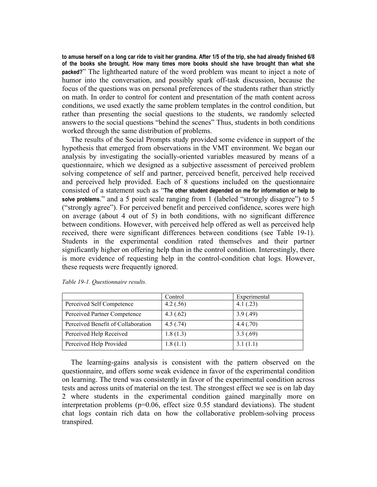**to amuse herself on a long car ride to visit her grandma. After 1/5 of the trip, she had already finished 6/8 of the books she brought. How many times more books should she have brought than what she packed?**" The lighthearted nature of the word problem was meant to inject a note of humor into the conversation, and possibly spark off-task discussion, because the focus of the questions was on personal preferences of the students rather than strictly on math. In order to control for content and presentation of the math content across conditions, we used exactly the same problem templates in the control condition, but rather than presenting the social questions to the students, we randomly selected answers to the social questions "behind the scenes" Thus, students in both conditions worked through the same distribution of problems.

The results of the Social Prompts study provided some evidence in support of the hypothesis that emerged from observations in the VMT environment. We began our analysis by investigating the socially-oriented variables measured by means of a questionnaire, which we designed as a subjective assessment of perceived problem solving competence of self and partner, perceived benefit, perceived help received and perceived help provided. Each of 8 questions included on the questionnaire consisted of a statement such as "**The other student depended on me for information or help to solve problems**." and a 5 point scale ranging from 1 (labeled "strongly disagree") to 5 ("strongly agree"). For perceived benefit and perceived confidence, scores were high on average (about 4 out of 5) in both conditions, with no significant difference between conditions. However, with perceived help offered as well as perceived help received, there were significant differences between conditions (see Table 19-1). Students in the experimental condition rated themselves and their partner significantly higher on offering help than in the control condition. Interestingly, there is more evidence of requesting help in the control-condition chat logs. However, these requests were frequently ignored.

|                                    | Control   | Experimental |
|------------------------------------|-----------|--------------|
| Perceived Self Competence          | 4.2(.56)  | 4.1(0.23)    |
| Perceived Partner Competence       | 4.3(0.62) | 3.9(0.49)    |
| Perceived Benefit of Collaboration | 4.5(.74)  | 4.4(.70)     |
| Perceived Help Received            | 1.8(1.3)  | 3.3(0.69)    |
| Perceived Help Provided            | 1.8(1.1)  | 3.1(1.1)     |

The learning-gains analysis is consistent with the pattern observed on the questionnaire, and offers some weak evidence in favor of the experimental condition on learning. The trend was consistently in favor of the experimental condition across tests and across units of material on the test. The strongest effect we see is on lab day 2 where students in the experimental condition gained marginally more on interpretation problems (p=0.06, effect size 0.55 standard deviations). The student chat logs contain rich data on how the collaborative problem-solving process transpired.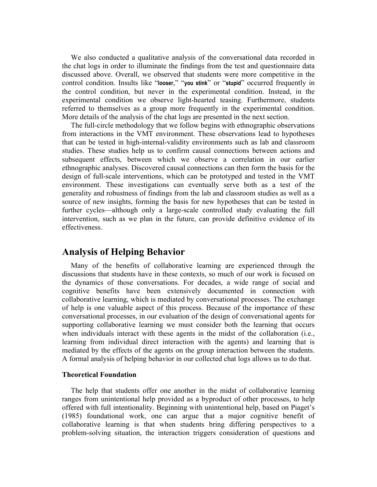We also conducted a qualitative analysis of the conversational data recorded in the chat logs in order to illuminate the findings from the test and questionnaire data discussed above. Overall, we observed that students were more competitive in the control condition. Insults like "**looser**," "**you stink**" or "**stupid**" occurred frequently in the control condition, but never in the experimental condition. Instead, in the experimental condition we observe light-hearted teasing. Furthermore, students referred to themselves as a group more frequently in the experimental condition. More details of the analysis of the chat logs are presented in the next section.

The full-circle methodology that we follow begins with ethnographic observations from interactions in the VMT environment. These observations lead to hypotheses that can be tested in high-internal-validity environments such as lab and classroom studies. These studies help us to confirm causal connections between actions and subsequent effects, between which we observe a correlation in our earlier ethnographic analyses. Discovered causal connections can then form the basis for the design of full-scale interventions, which can be prototyped and tested in the VMT environment. These investigations can eventually serve both as a test of the generality and robustness of findings from the lab and classroom studies as well as a source of new insights, forming the basis for new hypotheses that can be tested in further cycles—although only a large-scale controlled study evaluating the full intervention, such as we plan in the future, can provide definitive evidence of its effectiveness.

## **Analysis of Helping Behavior**

Many of the benefits of collaborative learning are experienced through the discussions that students have in these contexts, so much of our work is focused on the dynamics of those conversations. For decades, a wide range of social and cognitive benefits have been extensively documented in connection with collaborative learning, which is mediated by conversational processes. The exchange of help is one valuable aspect of this process. Because of the importance of these conversational processes, in our evaluation of the design of conversational agents for supporting collaborative learning we must consider both the learning that occurs when individuals interact with these agents in the midst of the collaboration (i.e., learning from individual direct interaction with the agents) and learning that is mediated by the effects of the agents on the group interaction between the students. A formal analysis of helping behavior in our collected chat logs allows us to do that.

#### **Theoretical Foundation**

The help that students offer one another in the midst of collaborative learning ranges from unintentional help provided as a byproduct of other processes, to help offered with full intentionality. Beginning with unintentional help, based on Piaget's (1985) foundational work, one can argue that a major cognitive benefit of collaborative learning is that when students bring differing perspectives to a problem-solving situation, the interaction triggers consideration of questions and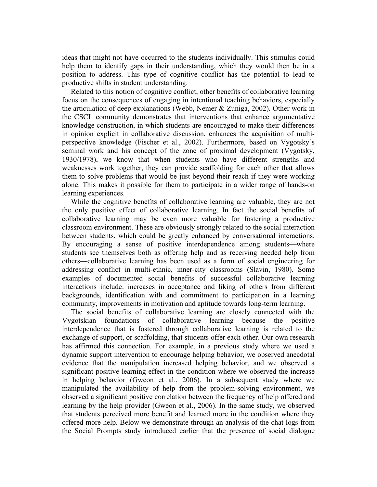ideas that might not have occurred to the students individually. This stimulus could help them to identify gaps in their understanding, which they would then be in a position to address. This type of cognitive conflict has the potential to lead to productive shifts in student understanding.

Related to this notion of cognitive conflict, other benefits of collaborative learning focus on the consequences of engaging in intentional teaching behaviors, especially the articulation of deep explanations (Webb, Nemer & Zuniga, 2002). Other work in the CSCL community demonstrates that interventions that enhance argumentative knowledge construction, in which students are encouraged to make their differences in opinion explicit in collaborative discussion, enhances the acquisition of multiperspective knowledge (Fischer et al., 2002). Furthermore, based on Vygotsky's seminal work and his concept of the zone of proximal development (Vygotsky, 1930/1978), we know that when students who have different strengths and weaknesses work together, they can provide scaffolding for each other that allows them to solve problems that would be just beyond their reach if they were working alone. This makes it possible for them to participate in a wider range of hands-on learning experiences.

While the cognitive benefits of collaborative learning are valuable, they are not the only positive effect of collaborative learning. In fact the social benefits of collaborative learning may be even more valuable for fostering a productive classroom environment. These are obviously strongly related to the social interaction between students, which could be greatly enhanced by conversational interactions. By encouraging a sense of positive interdependence among students—where students see themselves both as offering help and as receiving needed help from others—collaborative learning has been used as a form of social engineering for addressing conflict in multi-ethnic, inner-city classrooms (Slavin, 1980). Some examples of documented social benefits of successful collaborative learning interactions include: increases in acceptance and liking of others from different backgrounds, identification with and commitment to participation in a learning community, improvements in motivation and aptitude towards long-term learning.

The social benefits of collaborative learning are closely connected with the Vygotskian foundations of collaborative learning because the positive interdependence that is fostered through collaborative learning is related to the exchange of support, or scaffolding, that students offer each other. Our own research has affirmed this connection. For example, in a previous study where we used a dynamic support intervention to encourage helping behavior, we observed anecdotal evidence that the manipulation increased helping behavior, and we observed a significant positive learning effect in the condition where we observed the increase in helping behavior (Gweon et al., 2006). In a subsequent study where we manipulated the availability of help from the problem-solving environment, we observed a significant positive correlation between the frequency of help offered and learning by the help provider (Gweon et al., 2006). In the same study, we observed that students perceived more benefit and learned more in the condition where they offered more help. Below we demonstrate through an analysis of the chat logs from the Social Prompts study introduced earlier that the presence of social dialogue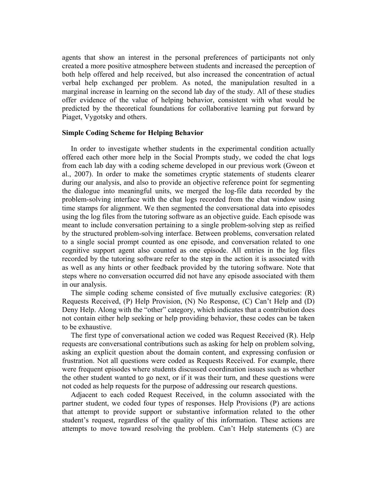agents that show an interest in the personal preferences of participants not only created a more positive atmosphere between students and increased the perception of both help offered and help received, but also increased the concentration of actual verbal help exchanged per problem. As noted, the manipulation resulted in a marginal increase in learning on the second lab day of the study. All of these studies offer evidence of the value of helping behavior, consistent with what would be predicted by the theoretical foundations for collaborative learning put forward by Piaget, Vygotsky and others.

#### **Simple Coding Scheme for Helping Behavior**

In order to investigate whether students in the experimental condition actually offered each other more help in the Social Prompts study, we coded the chat logs from each lab day with a coding scheme developed in our previous work (Gweon et al., 2007). In order to make the sometimes cryptic statements of students clearer during our analysis, and also to provide an objective reference point for segmenting the dialogue into meaningful units, we merged the log-file data recorded by the problem-solving interface with the chat logs recorded from the chat window using time stamps for alignment. We then segmented the conversational data into episodes using the log files from the tutoring software as an objective guide. Each episode was meant to include conversation pertaining to a single problem-solving step as reified by the structured problem-solving interface. Between problems, conversation related to a single social prompt counted as one episode, and conversation related to one cognitive support agent also counted as one episode. All entries in the log files recorded by the tutoring software refer to the step in the action it is associated with as well as any hints or other feedback provided by the tutoring software. Note that steps where no conversation occurred did not have any episode associated with them in our analysis.

The simple coding scheme consisted of five mutually exclusive categories: (R) Requests Received, (P) Help Provision, (N) No Response, (C) Can't Help and (D) Deny Help. Along with the "other" category, which indicates that a contribution does not contain either help seeking or help providing behavior, these codes can be taken to be exhaustive.

The first type of conversational action we coded was Request Received (R). Help requests are conversational contributions such as asking for help on problem solving, asking an explicit question about the domain content, and expressing confusion or frustration. Not all questions were coded as Requests Received. For example, there were frequent episodes where students discussed coordination issues such as whether the other student wanted to go next, or if it was their turn, and these questions were not coded as help requests for the purpose of addressing our research questions.

Adjacent to each coded Request Received, in the column associated with the partner student, we coded four types of responses. Help Provisions (P) are actions that attempt to provide support or substantive information related to the other student's request, regardless of the quality of this information. These actions are attempts to move toward resolving the problem. Can't Help statements (C) are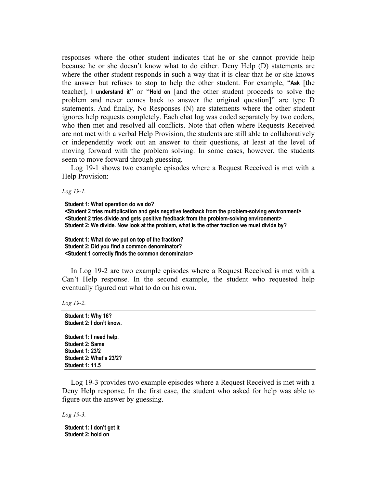responses where the other student indicates that he or she cannot provide help because he or she doesn't know what to do either. Deny Help (D) statements are where the other student responds in such a way that it is clear that he or she knows the answer but refuses to stop to help the other student. For example, "**Ask** [the teacher], **I understand it**" or "**Hold on** [and the other student proceeds to solve the problem and never comes back to answer the original question]" are type D statements. And finally, No Responses (N) are statements where the other student ignores help requests completely. Each chat log was coded separately by two coders, who then met and resolved all conflicts. Note that often where Requests Received are not met with a verbal Help Provision, the students are still able to collaboratively or independently work out an answer to their questions, at least at the level of moving forward with the problem solving. In some cases, however, the students seem to move forward through guessing.

Log 19-1 shows two example episodes where a Request Received is met with a Help Provision:

*Log 19-1.*

```
Student 1: What operation do we do?
<Student 2 tries multiplication and gets negative feedback from the problem-solving environment>
<Student 2 tries divide and gets positive feedback from the problem-solving environment>
Student 2: We divide. Now look at the problem, what is the other fraction we must divide by?
Student 1: What do we put on top of the fraction?
Student 2: Did you find a common denominator?
<Student 1 correctly finds the common denominator>
```
In Log 19-2 are two example episodes where a Request Received is met with a Can't Help response. In the second example, the student who requested help eventually figured out what to do on his own.

*Log 19-2.*

**Student 1: Why 16? Student 2: I don't know. Student 1: I need help. Student 2: Same Student 1: 23/2 Student 2: What's 23/2? Student 1: 11.5**

Log 19-3 provides two example episodes where a Request Received is met with a Deny Help response. In the first case, the student who asked for help was able to figure out the answer by guessing.

*Log 19-3.*

**Student 1: I don't get it Student 2: hold on**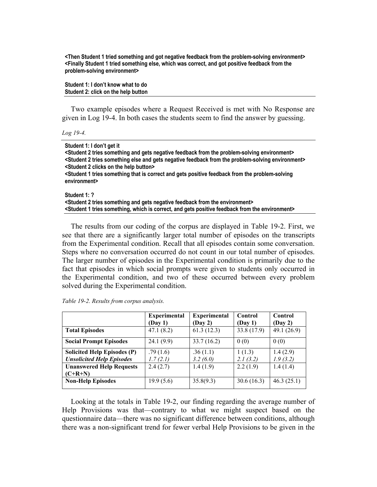**<Then Student 1 tried something and got negative feedback from the problem-solving environment> <Finally Student 1 tried something else, which was correct, and got positive feedback from the problem-solving environment>**

**Student 1: I don't know what to do Student 2: click on the help button**

Two example episodes where a Request Received is met with No Response are given in Log 19-4. In both cases the students seem to find the answer by guessing.

*Log 19-4.*

| Student 1: I don't get it<br><student 2="" and="" environment="" feedback="" from="" gets="" negative="" problem-solving="" something="" the="" tries=""><br/><student 2="" and="" else="" environment="" feedback="" from="" gets="" negative="" problem-solving="" something="" the="" tries=""></student></student> |
|------------------------------------------------------------------------------------------------------------------------------------------------------------------------------------------------------------------------------------------------------------------------------------------------------------------------|
| <student 2="" button="" clicks="" help="" on="" the=""></student>                                                                                                                                                                                                                                                      |
| <student 1="" and="" correct="" feedback="" from="" gets="" is="" positive="" problem-solving<br="" something="" that="" the="" tries="">environment&gt;</student>                                                                                                                                                     |
| Student 1: ?                                                                                                                                                                                                                                                                                                           |
| <student 2="" and="" environment="" feedback="" from="" gets="" negative="" something="" the="" tries=""></student>                                                                                                                                                                                                    |
| <student 1="" and="" correct,="" environment="" feedback="" from="" gets="" is="" positive="" something,="" the="" tries="" which=""></student>                                                                                                                                                                        |

The results from our coding of the corpus are displayed in Table 19-2. First, we see that there are a significantly larger total number of episodes on the transcripts from the Experimental condition. Recall that all episodes contain some conversation. Steps where no conversation occurred do not count in our total number of episodes. The larger number of episodes in the Experimental condition is primarily due to the fact that episodes in which social prompts were given to students only occurred in the Experimental condition, and two of these occurred between every problem solved during the Experimental condition.

|                                    | <b>Experimental</b> | <b>Experimental</b> | Control     | Control       |
|------------------------------------|---------------------|---------------------|-------------|---------------|
|                                    | (Day 1)             | (Day 2)             | (Day 1)     | (Day 2)       |
| <b>Total Episodes</b>              | 47.1(8.2)           | 61.3(12.3)          | 33.8 (17.9) | 49.1 $(26.9)$ |
| <b>Social Prompt Episodes</b>      | 24.1(9.9)           | 33.7(16.2)          | 0(0)        | 0(0)          |
| <b>Solicited Help Episodes (P)</b> | .79(1.6)            | .36(1.1)            | 1(1.3)      | 1.4(2.9)      |
| <b>Unsolicited Help Episodes</b>   | 1.7(2.1)            | 3.2(6.0)            | 2.1(3.2)    | 1.9(3.2)      |
| <b>Unanswered Help Requests</b>    | 2.4(2.7)            | 1.4(1.9)            | 2.2(1.9)    | 1.4(1.4)      |
| $(C+R+N)$                          |                     |                     |             |               |
| <b>Non-Help Episodes</b>           | 19.9(5.6)           | 35.8(9.3)           | 30.6(16.3)  | 46.3(25.1)    |

|  |  | Table 19-2. Results from corpus analysis. |
|--|--|-------------------------------------------|
|  |  |                                           |

Looking at the totals in Table 19-2, our finding regarding the average number of Help Provisions was that—contrary to what we might suspect based on the questionnaire data—there was no significant difference between conditions, although there was a non-significant trend for fewer verbal Help Provisions to be given in the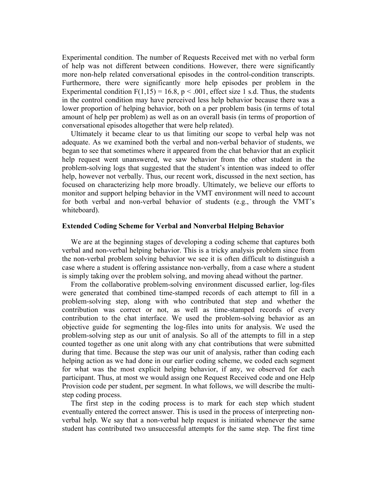Experimental condition. The number of Requests Received met with no verbal form of help was not different between conditions. However, there were significantly more non-help related conversational episodes in the control-condition transcripts. Furthermore, there were significantly more help episodes per problem in the Experimental condition  $F(1,15) = 16.8$ ,  $p < .001$ , effect size 1 s.d. Thus, the students in the control condition may have perceived less help behavior because there was a lower proportion of helping behavior, both on a per problem basis (in terms of total amount of help per problem) as well as on an overall basis (in terms of proportion of conversational episodes altogether that were help related).

Ultimately it became clear to us that limiting our scope to verbal help was not adequate. As we examined both the verbal and non-verbal behavior of students, we began to see that sometimes where it appeared from the chat behavior that an explicit help request went unanswered, we saw behavior from the other student in the problem-solving logs that suggested that the student's intention was indeed to offer help, however not verbally. Thus, our recent work, discussed in the next section, has focused on characterizing help more broadly. Ultimately, we believe our efforts to monitor and support helping behavior in the VMT environment will need to account for both verbal and non-verbal behavior of students (e.g., through the VMT's whiteboard).

#### **Extended Coding Scheme for Verbal and Nonverbal Helping Behavior**

We are at the beginning stages of developing a coding scheme that captures both verbal and non-verbal helping behavior. This is a tricky analysis problem since from the non-verbal problem solving behavior we see it is often difficult to distinguish a case where a student is offering assistance non-verbally, from a case where a student is simply taking over the problem solving, and moving ahead without the partner.

From the collaborative problem-solving environment discussed earlier, log-files were generated that combined time-stamped records of each attempt to fill in a problem-solving step, along with who contributed that step and whether the contribution was correct or not, as well as time-stamped records of every contribution to the chat interface. We used the problem-solving behavior as an objective guide for segmenting the log-files into units for analysis. We used the problem-solving step as our unit of analysis. So all of the attempts to fill in a step counted together as one unit along with any chat contributions that were submitted during that time. Because the step was our unit of analysis, rather than coding each helping action as we had done in our earlier coding scheme, we coded each segment for what was the most explicit helping behavior, if any, we observed for each participant. Thus, at most we would assign one Request Received code and one Help Provision code per student, per segment. In what follows, we will describe the multistep coding process.

The first step in the coding process is to mark for each step which student eventually entered the correct answer. This is used in the process of interpreting nonverbal help. We say that a non-verbal help request is initiated whenever the same student has contributed two unsuccessful attempts for the same step. The first time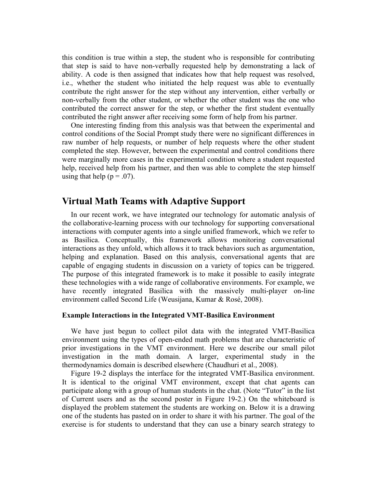this condition is true within a step, the student who is responsible for contributing that step is said to have non-verbally requested help by demonstrating a lack of ability. A code is then assigned that indicates how that help request was resolved, i.e., whether the student who initiated the help request was able to eventually contribute the right answer for the step without any intervention, either verbally or non-verbally from the other student, or whether the other student was the one who contributed the correct answer for the step, or whether the first student eventually contributed the right answer after receiving some form of help from his partner.

One interesting finding from this analysis was that between the experimental and control conditions of the Social Prompt study there were no significant differences in raw number of help requests, or number of help requests where the other student completed the step. However, between the experimental and control conditions there were marginally more cases in the experimental condition where a student requested help, received help from his partner, and then was able to complete the step himself using that help ( $p = .07$ ).

# **Virtual Math Teams with Adaptive Support**

In our recent work, we have integrated our technology for automatic analysis of the collaborative-learning process with our technology for supporting conversational interactions with computer agents into a single unified framework, which we refer to as Basilica. Conceptually, this framework allows monitoring conversational interactions as they unfold, which allows it to track behaviors such as argumentation, helping and explanation. Based on this analysis, conversational agents that are capable of engaging students in discussion on a variety of topics can be triggered. The purpose of this integrated framework is to make it possible to easily integrate these technologies with a wide range of collaborative environments. For example, we have recently integrated Basilica with the massively multi-player on-line environment called Second Life (Weusijana, Kumar & Rosé, 2008).

#### **Example Interactions in the Integrated VMT-Basilica Environment**

We have just begun to collect pilot data with the integrated VMT-Basilica environment using the types of open-ended math problems that are characteristic of prior investigations in the VMT environment. Here we describe our small pilot investigation in the math domain. A larger, experimental study in the thermodynamics domain is described elsewhere (Chaudhuri et al., 2008).

Figure 19-2 displays the interface for the integrated VMT-Basilica environment. It is identical to the original VMT environment, except that chat agents can participate along with a group of human students in the chat. (Note "Tutor" in the list of Current users and as the second poster in Figure 19-2.) On the whiteboard is displayed the problem statement the students are working on. Below it is a drawing one of the students has pasted on in order to share it with his partner. The goal of the exercise is for students to understand that they can use a binary search strategy to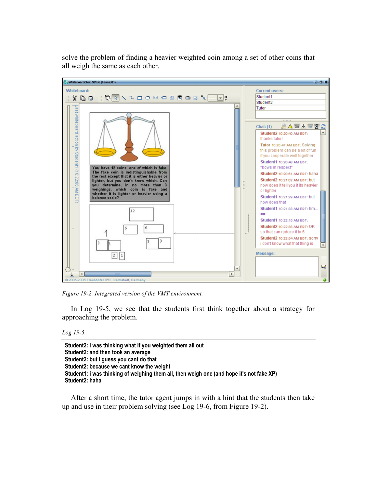

solve the problem of finding a heavier weighted coin among a set of other coins that all weigh the same as each other.

*Figure 19-2. Integrated version of the VMT environment.*

In Log 19-5, we see that the students first think together about a strategy for approaching the problem.

```
Log 19-5.
```

| Student2: i was thinking what if you weighted them all out                                |  |
|-------------------------------------------------------------------------------------------|--|
| Student2: and then took an average                                                        |  |
| Student2: but i guess you cant do that                                                    |  |
| Student2: because we cant know the weight                                                 |  |
| Student1: i was thinking of weighing them all, then weigh one (and hope it's not fake XP) |  |
| Student <sub>2</sub> : haha                                                               |  |

After a short time, the tutor agent jumps in with a hint that the students then take up and use in their problem solving (see Log 19-6, from Figure 19-2).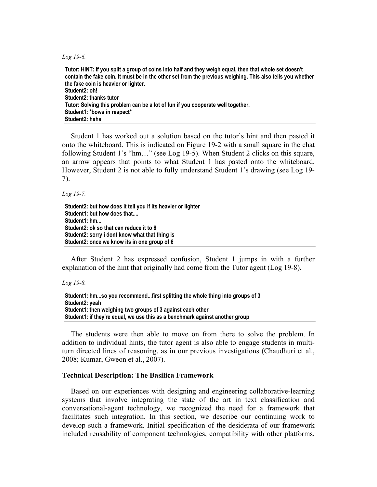*Log 19-6.*

**Tutor: HINT: If you split a group of coins into half and they weigh equal, then that whole set doesn't contain the fake coin. It must be in the other set from the previous weighing. This also tells you whether the fake coin is heavier or lighter. Student2: oh! Student2: thanks tutor Tutor: Solving this problem can be a lot of fun if you cooperate well together. Student1: \*bows in respect\* Student2: haha**

Student 1 has worked out a solution based on the tutor's hint and then pasted it onto the whiteboard. This is indicated on Figure 19-2 with a small square in the chat following Student 1's "hm…" (see Log 19-5). When Student 2 clicks on this square, an arrow appears that points to what Student 1 has pasted onto the whiteboard. However, Student 2 is not able to fully understand Student 1's drawing (see Log 19- 7).

*Log 19-7.*

|              | Student2: but how does it tell you if its heavier or lighter |
|--------------|--------------------------------------------------------------|
|              | Student1: but how does that                                  |
| Student1: hm |                                                              |
|              | Student2: ok so that can reduce it to 6                      |
|              | Student2: sorry i dont know what that thing is               |
|              | Student2: once we know its in one group of 6                 |

After Student 2 has expressed confusion, Student 1 jumps in with a further explanation of the hint that originally had come from the Tutor agent (Log 19-8).

| $\overline{O}$<br>i. | , |
|----------------------|---|
|----------------------|---|

**Student1: hm...so you recommend...first splitting the whole thing into groups of 3 Student2: yeah Student1: then weighing two groups of 3 against each other Student1: if they're equal, we use this as a benchmark against another group**

The students were then able to move on from there to solve the problem. In addition to individual hints, the tutor agent is also able to engage students in multiturn directed lines of reasoning, as in our previous investigations (Chaudhuri et al., 2008; Kumar, Gweon et al., 2007).

#### **Technical Description: The Basilica Framework**

Based on our experiences with designing and engineering collaborative-learning systems that involve integrating the state of the art in text classification and conversational-agent technology, we recognized the need for a framework that facilitates such integration. In this section, we describe our continuing work to develop such a framework. Initial specification of the desiderata of our framework included reusability of component technologies, compatibility with other platforms,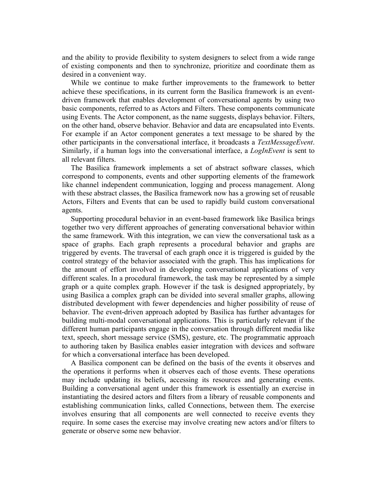and the ability to provide flexibility to system designers to select from a wide range of existing components and then to synchronize, prioritize and coordinate them as desired in a convenient way.

While we continue to make further improvements to the framework to better achieve these specifications, in its current form the Basilica framework is an eventdriven framework that enables development of conversational agents by using two basic components, referred to as Actors and Filters. These components communicate using Events. The Actor component, as the name suggests, displays behavior. Filters, on the other hand, observe behavior. Behavior and data are encapsulated into Events. For example if an Actor component generates a text message to be shared by the other participants in the conversational interface, it broadcasts a *TextMessageEvent*. Similarly, if a human logs into the conversational interface, a *LogInEvent* is sent to all relevant filters.

The Basilica framework implements a set of abstract software classes, which correspond to components, events and other supporting elements of the framework like channel independent communication, logging and process management. Along with these abstract classes, the Basilica framework now has a growing set of reusable Actors, Filters and Events that can be used to rapidly build custom conversational agents.

Supporting procedural behavior in an event-based framework like Basilica brings together two very different approaches of generating conversational behavior within the same framework. With this integration, we can view the conversational task as a space of graphs. Each graph represents a procedural behavior and graphs are triggered by events. The traversal of each graph once it is triggered is guided by the control strategy of the behavior associated with the graph. This has implications for the amount of effort involved in developing conversational applications of very different scales. In a procedural framework, the task may be represented by a simple graph or a quite complex graph. However if the task is designed appropriately, by using Basilica a complex graph can be divided into several smaller graphs, allowing distributed development with fewer dependencies and higher possibility of reuse of behavior. The event-driven approach adopted by Basilica has further advantages for building multi-modal conversational applications. This is particularly relevant if the different human participants engage in the conversation through different media like text, speech, short message service (SMS), gesture, etc. The programmatic approach to authoring taken by Basilica enables easier integration with devices and software for which a conversational interface has been developed.

A Basilica component can be defined on the basis of the events it observes and the operations it performs when it observes each of those events. These operations may include updating its beliefs, accessing its resources and generating events. Building a conversational agent under this framework is essentially an exercise in instantiating the desired actors and filters from a library of reusable components and establishing communication links, called Connections, between them. The exercise involves ensuring that all components are well connected to receive events they require. In some cases the exercise may involve creating new actors and/or filters to generate or observe some new behavior.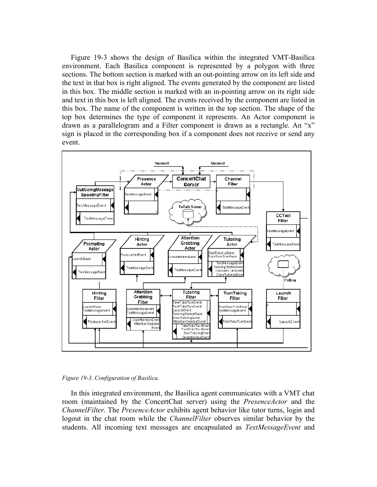Figure 19-3 shows the design of Basilica within the integrated VMT-Basilica environment. Each Basilica component is represented by a polygon with three sections. The bottom section is marked with an out-pointing arrow on its left side and the text in that box is right aligned. The events generated by the component are listed in this box. The middle section is marked with an in-pointing arrow on its right side and text in this box is left aligned. The events received by the component are listed in this box. The name of the component is written in the top section. The shape of the top box determines the type of component it represents. An Actor component is drawn as a parallelogram and a Filter component is drawn as a rectangle. An "x" sign is placed in the corresponding box if a component does not receive or send any event.





In this integrated environment, the Basilica agent communicates with a VMT chat room (maintained by the ConcertChat server) using the *PresenceActor* and the *ChannelFilter*. The *PresenceActor* exhibits agent behavior like tutor turns, login and logout in the chat room while the *ChannelFilter* observes similar behavior by the students. All incoming text messages are encapsulated as *TextMessageEvent* and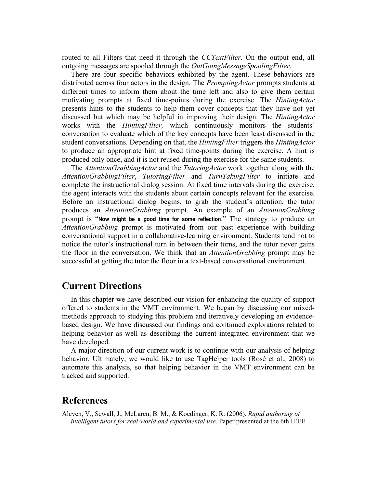routed to all Filters that need it through the *CCTextFilter*. On the output end, all outgoing messages are spooled through the *OutGoingMessageSpoolingFilter*.

There are four specific behaviors exhibited by the agent. These behaviors are distributed across four actors in the design. The *PromptingActor* prompts students at different times to inform them about the time left and also to give them certain motivating prompts at fixed time-points during the exercise. The *HintingActor* presents hints to the students to help them cover concepts that they have not yet discussed but which may be helpful in improving their design. The *HintingActor* works with the *HintingFilter,* which continuously monitors the students' conversation to evaluate which of the key concepts have been least discussed in the student conversations. Depending on that, the *HintingFilter* triggers the *HintingActor* to produce an appropriate hint at fixed time-points during the exercise. A hint is produced only once, and it is not reused during the exercise for the same students.

The *AttentionGrabbingActor* and the *TutoringActor* work together along with the *AttentionGrabbingFilter*, *TutoringFilter* and *TurnTakingFilter* to initiate and complete the instructional dialog session. At fixed time intervals during the exercise, the agent interacts with the students about certain concepts relevant for the exercise. Before an instructional dialog begins, to grab the student's attention, the tutor produces an *AttentionGrabbing* prompt. An example of an *AttentionGrabbing* prompt is "**Now might be a good time for some reflection**." The strategy to produce an *AttentionGrabbing* prompt is motivated from our past experience with building conversational support in a collaborative-learning environment. Students tend not to notice the tutor's instructional turn in between their turns, and the tutor never gains the floor in the conversation. We think that an *AttentionGrabbing* prompt may be successful at getting the tutor the floor in a text-based conversational environment.

### **Current Directions**

In this chapter we have described our vision for enhancing the quality of support offered to students in the VMT environment. We began by discussing our mixedmethods approach to studying this problem and iteratively developing an evidencebased design. We have discussed our findings and continued explorations related to helping behavior as well as describing the current integrated environment that we have developed.

A major direction of our current work is to continue with our analysis of helping behavior. Ultimately, we would like to use TagHelper tools (Rosé et al., 2008) to automate this analysis, so that helping behavior in the VMT environment can be tracked and supported.

### **References**

Aleven, V., Sewall, J., McLaren, B. M., & Koedinger, K. R. (2006). *Rapid authoring of intelligent tutors for real-world and experimental use.* Paper presented at the 6th IEEE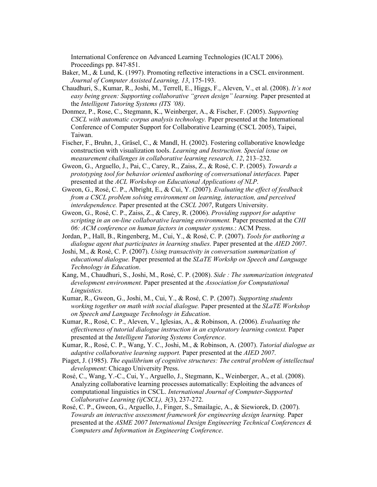International Conference on Advanced Learning Technologies (ICALT 2006). Proceedings pp. 847-851.

- Baker, M., & Lund, K. (1997). Promoting reflective interactions in a CSCL environment. *Journal of Computer Assisted Learning, 13*, 175-193.
- Chaudhuri, S., Kumar, R., Joshi, M., Terrell, E., Higgs, F., Aleven, V., et al. (2008). *It's not easy being green: Supporting collaborative "green design" learning.* Paper presented at the *Intelligent Tutoring Systems (ITS '08)*.
- Donmez, P., Rose, C., Stegmann, K., Weinberger, A., & Fischer, F. (2005). *Supporting CSCL with automatic corpus analysis technology.* Paper presented at the International Conference of Computer Support for Collaborative Learning (CSCL 2005), Taipei, Taiwan.
- Fischer, F., Bruhn, J., Gräsel, C., & Mandl, H. (2002). Fostering collaborative knowledge construction with visualization tools. *Learning and Instruction. Special issue on measurement challenges in collaborative learning research, 12*, 213–232.
- Gweon, G., Arguello, J., Pai, C., Carey, R., Zaiss, Z., & Rosé, C. P. (2005). *Towards a prototyping tool for behavior oriented authoring of conversational interfaces.* Paper presented at the *ACL Workshop on Educational Applications of NLP*.
- Gweon, G., Rosé, C. P., Albright, E., & Cui, Y. (2007). *Evaluating the effect of feedback from a CSCL problem solving environment on learning, interaction, and perceived interdependence.* Paper presented at the *CSCL 2007*, Rutgers University.
- Gweon, G., Rosé, C. P., Zaiss, Z., & Carey, R. (2006). *Providing support for adaptive scripting in an on-line collaborative learning environment.* Paper presented at the *CHI 06: ACM conference on human factors in computer systems*.: ACM Press.
- Jordan, P., Hall, B., Ringenberg, M., Cui, Y., & Rosé, C. P. (2007). *Tools for authoring a dialogue agent that participates in learning studies.* Paper presented at the *AIED 2007*.
- Joshi, M., & Rosé, C. P. (2007). *Using transactivity in conversation summarization of educational dialogue.* Paper presented at the *SLaTE Workshp on Speech and Language Technology in Education*.
- Kang, M., Chaudhuri, S., Joshi, M., Rosé, C. P. (2008). *Side : The summarization integrated development environment.* Paper presented at the *Association for Computational Linguistics*.
- Kumar, R., Gweon, G., Joshi, M., Cui, Y., & Rosé, C. P. (2007). *Supporting students working together on math with social dialogue.* Paper presented at the *SLaTE Workshop on Speech and Language Technology in Education*.
- Kumar, R., Rosé, C. P., Aleven, V., Iglesias, A., & Robinson, A. (2006). *Evaluating the effectiveness of tutorial dialogue instruction in an exploratory learning context.* Paper presented at the *Intelligent Tutoring Systems Conference*.
- Kumar, R., Rosé, C. P., Wang, Y. C., Joshi, M., & Robinson, A. (2007). *Tutorial dialogue as adaptive collaborative learning support.* Paper presented at the *AIED 2007*.
- Piaget, J. (1985). *The equilibrium of cognitive structures: The central problem of intellectual development*: Chicago University Press.
- Rosé, C., Wang, Y.-C., Cui, Y., Arguello, J., Stegmann, K., Weinberger, A., et al. (2008). Analyzing collaborative learning processes automatically: Exploiting the advances of computational linguistics in CSCL. *International Journal of Computer-Supported Collaborative Learning (ijCSCL), 3*(3), 237-272.
- Rosé, C. P., Gweon, G., Arguello, J., Finger, S., Smailagic, A., & Siewiorek, D. (2007). *Towards an interactive assessment framework for engineering design learning.* Paper presented at the *ASME 2007 International Design Engineering Technical Conferences & Computers and Information in Engineering Conference*.